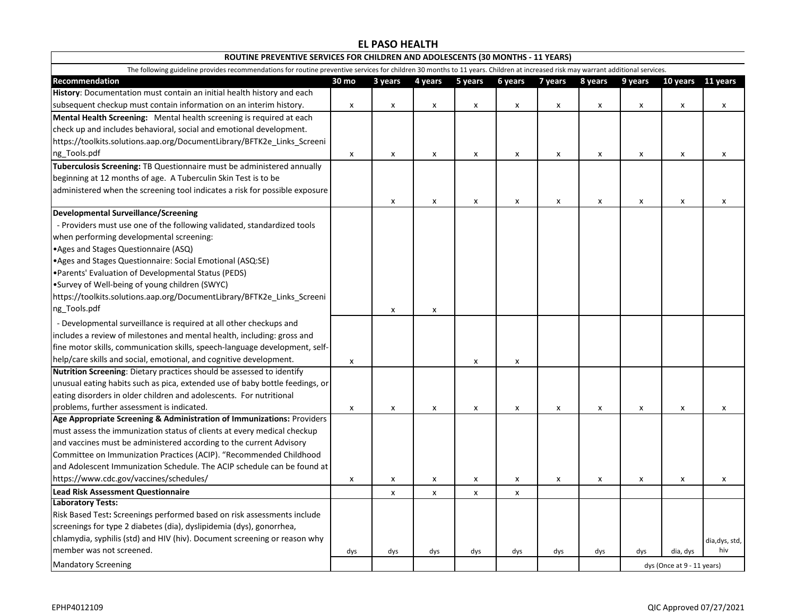## **EL PASO HEALTH**

| ROUTINE PREVENTIVE SERVICES FOR CHILDREN AND ADOLESCENTS (30 MONTHS - 11 YEARS)                                                                                                  |       |                    |                |         |                |         |                    |                            |          |                |  |
|----------------------------------------------------------------------------------------------------------------------------------------------------------------------------------|-------|--------------------|----------------|---------|----------------|---------|--------------------|----------------------------|----------|----------------|--|
| The following guideline provides recommendations for routine preventive services for children 30 months to 11 years. Children at increased risk may warrant additional services. |       |                    |                |         |                |         |                    |                            |          |                |  |
| Recommendation                                                                                                                                                                   | 30 mo | 3 years            | 4 years        | 5 years | 6 years        | 7 years | 8 years            | 9 years                    | 10 years | 11 years       |  |
| History: Documentation must contain an initial health history and each                                                                                                           |       |                    |                |         |                |         |                    |                            |          |                |  |
| subsequent checkup must contain information on an interim history.                                                                                                               | X     | X                  | $\pmb{\times}$ | X       | $\pmb{\times}$ | X       | x                  | x                          | X        | X              |  |
| Mental Health Screening: Mental health screening is required at each                                                                                                             |       |                    |                |         |                |         |                    |                            |          |                |  |
| check up and includes behavioral, social and emotional development.                                                                                                              |       |                    |                |         |                |         |                    |                            |          |                |  |
| https://toolkits.solutions.aap.org/DocumentLibrary/BFTK2e_Links_Screeni                                                                                                          |       |                    |                |         |                |         |                    |                            |          |                |  |
| ng_Tools.pdf                                                                                                                                                                     | X     | X                  | $\pmb{\times}$ | X       | $\pmb{\times}$ | X       | X                  | $\pmb{\mathsf{x}}$         | X        | $\pmb{\chi}$   |  |
| Tuberculosis Screening: TB Questionnaire must be administered annually                                                                                                           |       |                    |                |         |                |         |                    |                            |          |                |  |
| beginning at 12 months of age. A Tuberculin Skin Test is to be                                                                                                                   |       |                    |                |         |                |         |                    |                            |          |                |  |
| administered when the screening tool indicates a risk for possible exposure                                                                                                      |       |                    |                |         |                |         |                    |                            |          |                |  |
|                                                                                                                                                                                  |       | x                  | x              | X       | X              | x       | x                  | x                          | x        | X              |  |
| <b>Developmental Surveillance/Screening</b>                                                                                                                                      |       |                    |                |         |                |         |                    |                            |          |                |  |
| - Providers must use one of the following validated, standardized tools                                                                                                          |       |                    |                |         |                |         |                    |                            |          |                |  |
| when performing developmental screening:                                                                                                                                         |       |                    |                |         |                |         |                    |                            |          |                |  |
| • Ages and Stages Questionnaire (ASQ)                                                                                                                                            |       |                    |                |         |                |         |                    |                            |          |                |  |
| • Ages and Stages Questionnaire: Social Emotional (ASQ:SE)                                                                                                                       |       |                    |                |         |                |         |                    |                            |          |                |  |
| • Parents' Evaluation of Developmental Status (PEDS)                                                                                                                             |       |                    |                |         |                |         |                    |                            |          |                |  |
| •Survey of Well-being of young children (SWYC)                                                                                                                                   |       |                    |                |         |                |         |                    |                            |          |                |  |
| https://toolkits.solutions.aap.org/DocumentLibrary/BFTK2e_Links_Screeni                                                                                                          |       |                    |                |         |                |         |                    |                            |          |                |  |
| ng_Tools.pdf                                                                                                                                                                     |       | X                  | x              |         |                |         |                    |                            |          |                |  |
| - Developmental surveillance is required at all other checkups and                                                                                                               |       |                    |                |         |                |         |                    |                            |          |                |  |
| includes a review of milestones and mental health, including: gross and                                                                                                          |       |                    |                |         |                |         |                    |                            |          |                |  |
| fine motor skills, communication skills, speech-language development, self-                                                                                                      |       |                    |                |         |                |         |                    |                            |          |                |  |
| help/care skills and social, emotional, and cognitive development.                                                                                                               | X     |                    |                | X       | $\pmb{\times}$ |         |                    |                            |          |                |  |
| Nutrition Screening: Dietary practices should be assessed to identify                                                                                                            |       |                    |                |         |                |         |                    |                            |          |                |  |
| unusual eating habits such as pica, extended use of baby bottle feedings, or                                                                                                     |       |                    |                |         |                |         |                    |                            |          |                |  |
| eating disorders in older children and adolescents. For nutritional                                                                                                              |       |                    |                |         |                |         |                    |                            |          |                |  |
| problems, further assessment is indicated.                                                                                                                                       | x     | x                  | x              | x       | X              | x       | X                  | x                          | x        | x              |  |
| Age Appropriate Screening & Administration of Immunizations: Providers                                                                                                           |       |                    |                |         |                |         |                    |                            |          |                |  |
| must assess the immunization status of clients at every medical checkup                                                                                                          |       |                    |                |         |                |         |                    |                            |          |                |  |
| and vaccines must be administered according to the current Advisory                                                                                                              |       |                    |                |         |                |         |                    |                            |          |                |  |
| Committee on Immunization Practices (ACIP). "Recommended Childhood                                                                                                               |       |                    |                |         |                |         |                    |                            |          |                |  |
| and Adolescent Immunization Schedule. The ACIP schedule can be found at                                                                                                          |       |                    |                |         |                |         |                    |                            |          |                |  |
| https://www.cdc.gov/vaccines/schedules/                                                                                                                                          | X     | $\pmb{\mathsf{x}}$ | $\pmb{\times}$ | X       | $\pmb{\times}$ | x       | $\pmb{\mathsf{x}}$ | x                          | X        | $\pmb{\chi}$   |  |
| <b>Lead Risk Assessment Questionnaire</b>                                                                                                                                        |       | X                  | x              | X       | X              |         |                    |                            |          |                |  |
| <b>Laboratory Tests:</b>                                                                                                                                                         |       |                    |                |         |                |         |                    |                            |          |                |  |
| Risk Based Test: Screenings performed based on risk assessments include                                                                                                          |       |                    |                |         |                |         |                    |                            |          |                |  |
| screenings for type 2 diabetes (dia), dyslipidemia (dys), gonorrhea,                                                                                                             |       |                    |                |         |                |         |                    |                            |          |                |  |
| chlamydia, syphilis (std) and HIV (hiv). Document screening or reason why                                                                                                        |       |                    |                |         |                |         |                    |                            |          | dia, dys, std, |  |
| member was not screened.                                                                                                                                                         | dys   | dys                | dys            | dys     | dys            | dys     | dys                | dys                        | dia, dys | hiv            |  |
| <b>Mandatory Screening</b>                                                                                                                                                       |       |                    |                |         |                |         |                    | dys (Once at 9 - 11 years) |          |                |  |